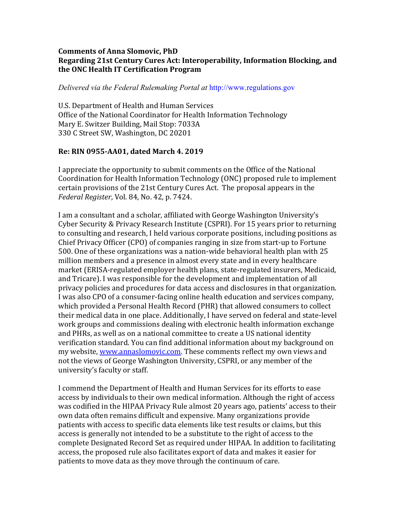#### **Comments of Anna Slomovic, PhD Regarding 21st Century Cures Act: Interoperability, Information Blocking, and the ONC Health IT Certification Program**

*Delivered via the Federal Rulemaking Portal at* http://www.regulations.gov

U.S. Department of Health and Human Services Office of the National Coordinator for Health Information Technology Mary E. Switzer Building, Mail Stop: 7033A 330 C Street SW, Washington, DC 20201

### **Re: RIN 0955-AA01, dated March 4. 2019**

I appreciate the opportunity to submit comments on the Office of the National Coordination for Health Information Technology (ONC) proposed rule to implement certain provisions of the 21st Century Cures Act. The proposal appears in the *Federal Register*, Vol. 84, No. 42, p. 7424.

I am a consultant and a scholar, affiliated with George Washington University's Cyber Security & Privacy Research Institute (CSPRI). For 15 years prior to returning to consulting and research, I held various corporate positions, including positions as Chief Privacy Officer (CPO) of companies ranging in size from start-up to Fortune 500. One of these organizations was a nation-wide behavioral health plan with 25 million members and a presence in almost every state and in every healthcare market (ERISA-regulated employer health plans, state-regulated insurers, Medicaid, and Tricare). I was responsible for the development and implementation of all privacy policies and procedures for data access and disclosures in that organization. I was also CPO of a consumer-facing online health education and services company, which provided a Personal Health Record (PHR) that allowed consumers to collect their medical data in one place. Additionally, I have served on federal and state-level work groups and commissions dealing with electronic health information exchange and PHRs, as well as on a national committee to create a US national identity verification standard. You can find additional information about my background on my website, www.annaslomovic.com. These comments reflect my own views and not the views of George Washington University, CSPRI, or any member of the university's faculty or staff.

I commend the Department of Health and Human Services for its efforts to ease access by individuals to their own medical information. Although the right of access was codified in the HIPAA Privacy Rule almost 20 years ago, patients' access to their own data often remains difficult and expensive. Many organizations provide patients with access to specific data elements like test results or claims, but this access is generally not intended to be a substitute to the right of access to the complete Designated Record Set as required under HIPAA. In addition to facilitating access, the proposed rule also facilitates export of data and makes it easier for patients to move data as they move through the continuum of care.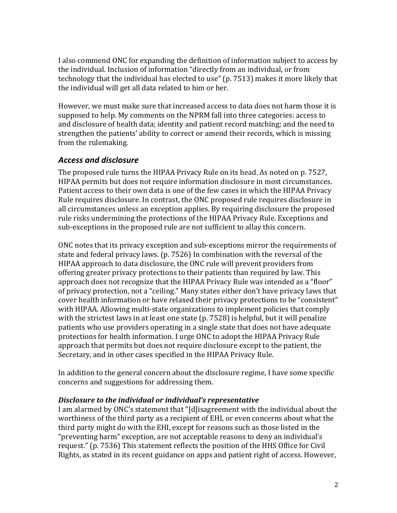I also commend ONC for expanding the definition of information subject to access by the individual. Inclusion of information "directly from an individual, or from technology that the individual has elected to use" (p. 7513) makes it more likely that the individual will get all data related to him or her.

However, we must make sure that increased access to data does not harm those it is supposed to help. My comments on the NPRM fall into three categories: access to and disclosure of health data; identity and patient record matching; and the need to strengthen the patients' ability to correct or amend their records, which is missing from the rulemaking.

## *Access and disclosure*

The proposed rule turns the HIPAA Privacy Rule on its head. As noted on p. 7527, HIPAA permits but does not require information disclosure in most circumstances. Patient access to their own data is one of the few cases in which the HIPAA Privacy Rule requires disclosure. In contrast, the ONC proposed rule requires disclosure in all circumstances unless an exception applies. By requiring disclosure the proposed rule risks undermining the protections of the HIPAA Privacy Rule. Exceptions and sub-exceptions in the proposed rule are not sufficient to allay this concern.

ONC notes that its privacy exception and sub-exceptions mirror the requirements of state and federal privacy laws. (p. 7526) In combination with the reversal of the HIPAA approach to data disclosure, the ONC rule will prevent providers from offering greater privacy protections to their patients than required by law. This approach does not recognize that the HIPAA Privacy Rule was intended as a "floor" of privacy protection, not a "ceiling." Many states either don't have privacy laws that cover health information or have relaxed their privacy protections to be "consistent" with HIPAA. Allowing multi-state organizations to implement policies that comply with the strictest laws in at least one state  $(p. 7528)$  is helpful, but it will penalize patients who use providers operating in a single state that does not have adequate protections for health information. I urge ONC to adopt the HIPAA Privacy Rule approach that permits but does not require disclosure except to the patient, the Secretary, and in other cases specified in the HIPAA Privacy Rule.

In addition to the general concern about the disclosure regime, I have some specific concerns and suggestions for addressing them.

#### **Disclosure to the individual or individual's representative**

I am alarmed by ONC's statement that "[d]isagreement with the individual about the worthiness of the third party as a recipient of EHI, or even concerns about what the third party might do with the EHI, except for reasons such as those listed in the "preventing harm" exception, are not acceptable reasons to deny an individual's request." (p. 7536) This statement reflects the position of the HHS Office for Civil Rights, as stated in its recent guidance on apps and patient right of access. However,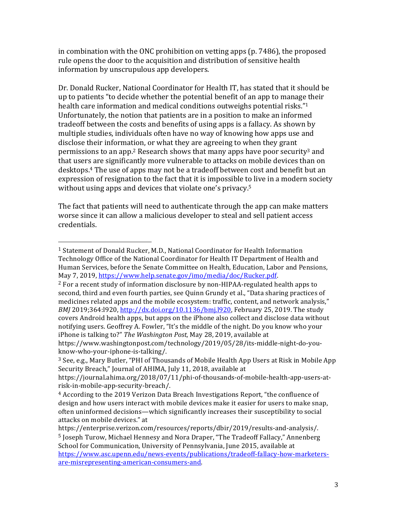in combination with the ONC prohibition on vetting apps  $(p. 7486)$ , the proposed rule opens the door to the acquisition and distribution of sensitive health information by unscrupulous app developers.

Dr. Donald Rucker, National Coordinator for Health IT, has stated that it should be up to patients "to decide whether the potential benefit of an app to manage their health care information and medical conditions outweighs potential risks."<sup>1</sup> Unfortunately, the notion that patients are in a position to make an informed tradeoff between the costs and benefits of using apps is a fallacy. As shown by multiple studies, individuals often have no way of knowing how apps use and disclose their information, or what they are agreeing to when they grant permissions to an app.<sup>2</sup> Research shows that many apps have poor security<sup>3</sup> and that users are significantly more vulnerable to attacks on mobile devices than on desktops.<sup>4</sup> The use of apps may not be a tradeoff between cost and benefit but an expression of resignation to the fact that it is impossible to live in a modern society without using apps and devices that violate one's privacy.<sup>5</sup>

The fact that patients will need to authenticate through the app can make matters worse since it can allow a malicious developer to steal and sell patient access credentials. 

know-who-your-iphone-is-talking/.

 

<sup>&</sup>lt;sup>1</sup> Statement of Donald Rucker, M.D., National Coordinator for Health Information Technology Office of the National Coordinator for Health IT Department of Health and Human Services, before the Senate Committee on Health, Education, Labor and Pensions, May 7, 2019, https://www.help.senate.gov/imo/media/doc/Rucker.pdf.

 $^2$  For a recent study of information disclosure by non-HIPAA-regulated health apps to second, third and even fourth parties, see Ouinn Grundy et al., "Data sharing practices of medicines related apps and the mobile ecosystem: traffic, content, and network analysis," *BMJ* 2019;364:1920, http://dx.doi.org/10.1136/bmj.1920, February 25, 2019. The study covers Android health apps, but apps on the iPhone also collect and disclose data without notifying users. Geoffrey A. Fowler, "It's the middle of the night. Do you know who your iPhone is talking to?" The Washington Post, May 28, 2019, available at https://www.washingtonpost.com/technology/2019/05/28/its-middle-night-do-you-

 $3$  See, e.g., Mary Butler, "PHI of Thousands of Mobile Health App Users at Risk in Mobile App Security Breach," Journal of AHIMA, July 11, 2018, available at

https://journal.ahima.org/2018/07/11/phi-of-thousands-of-mobile-health-app-users-atrisk-in-mobile-app-security-breach/.

 $4$  According to the 2019 Verizon Data Breach Investigations Report, "the confluence of design and how users interact with mobile devices make it easier for users to make snap, often uninformed decisions—which significantly increases their susceptibility to social attacks on mobile devices." at

https://enterprise.verizon.com/resources/reports/dbir/2019/results-and-analysis/. <sup>5</sup> Joseph Turow, Michael Hennesy and Nora Draper, "The Tradeoff Fallacy," Annenberg School for Communication, University of Pennsylvania, June 2015, available at https://www.asc.upenn.edu/news-events/publications/tradeoff-fallacy-how-marketersare-misrepresenting-american-consumers-and.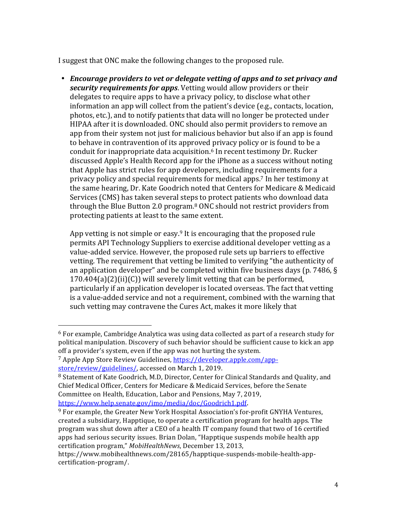I suggest that ONC make the following changes to the proposed rule.

• *Encourage providers to vet or delegate vetting of apps and to set privacy and* **security requirements for apps**. Vetting would allow providers or their delegates to require apps to have a privacy policy, to disclose what other information an app will collect from the patient's device (e.g., contacts, location, photos, etc.), and to notify patients that data will no longer be protected under HIPAA after it is downloaded. ONC should also permit providers to remove an app from their system not just for malicious behavior but also if an app is found to behave in contravention of its approved privacy policy or is found to be a conduit for inappropriate data acquisition.<sup>6</sup> In recent testimony Dr. Rucker discussed Apple's Health Record app for the iPhone as a success without noting that Apple has strict rules for app developers, including requirements for a privacy policy and special requirements for medical apps.<sup>7</sup> In her testimony at the same hearing, Dr. Kate Goodrich noted that Centers for Medicare & Medicaid Services (CMS) has taken several steps to protect patients who download data through the Blue Button 2.0 program. $8$  ONC should not restrict providers from protecting patients at least to the same extent.

App vetting is not simple or easy.<sup>9</sup> It is encouraging that the proposed rule permits API Technology Suppliers to exercise additional developer vetting as a value-added service. However, the proposed rule sets up barriers to effective vetting. The requirement that vetting be limited to verifying "the authenticity of an application developer" and be completed within five business days (p. 7486,  $\S$ )  $170.404(a)(2)(ii)(C)$  will severely limit vetting that can be performed, particularly if an application developer is located overseas. The fact that vetting is a value-added service and not a requirement, combined with the warning that such vetting may contravene the Cures Act, makes it more likely that

 

 $6$  For example, Cambridge Analytica was using data collected as part of a research study for political manipulation. Discovery of such behavior should be sufficient cause to kick an app off a provider's system, even if the app was not hurting the system.

<sup>&</sup>lt;sup>7</sup> Apple App Store Review Guidelines, https://developer.apple.com/appstore/review/guidelines/, accessed on March 1, 2019.

 $8$  Statement of Kate Goodrich, M.D, Director, Center for Clinical Standards and Quality, and Chief Medical Officer, Centers for Medicare & Medicaid Services, before the Senate Committee on Health, Education, Labor and Pensions, May 7, 2019, https://www.help.senate.gov/imo/media/doc/Goodrich1.pdf.

 $9$  For example, the Greater New York Hospital Association's for-profit GNYHA Ventures, created a subsidiary, Happtique, to operate a certification program for health apps. The program was shut down after a CEO of a health IT company found that two of 16 certified apps had serious security issues. Brian Dolan, "Happtique suspends mobile health app certification program," MobiHealthNews, December 13, 2013,

https://www.mobihealthnews.com/28165/happtique-suspends-mobile-health-appcertification-program/.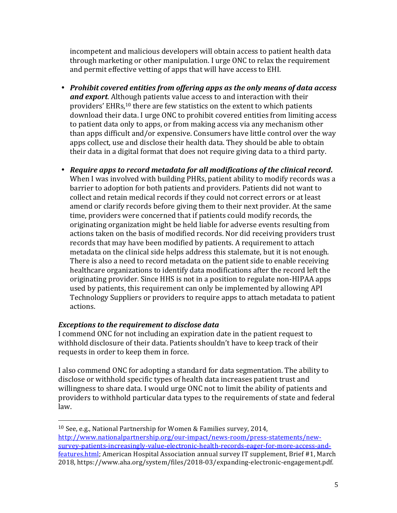incompetent and malicious developers will obtain access to patient health data through marketing or other manipulation. I urge ONC to relax the requirement and permit effective vetting of apps that will have access to EHI.

- Prohibit covered entities from offering apps as the only means of data access *and export*. Although patients value access to and interaction with their providers' EHRs,<sup>10</sup> there are few statistics on the extent to which patients download their data. I urge ONC to prohibit covered entities from limiting access to patient data only to apps, or from making access via any mechanism other than apps difficult and/or expensive. Consumers have little control over the way apps collect, use and disclose their health data. They should be able to obtain their data in a digital format that does not require giving data to a third party.
- Require apps to record metadata for all modifications of the clinical record. When I was involved with building PHRs, patient ability to modify records was a barrier to adoption for both patients and providers. Patients did not want to collect and retain medical records if they could not correct errors or at least amend or clarify records before giving them to their next provider. At the same time, providers were concerned that if patients could modify records, the originating organization might be held liable for adverse events resulting from actions taken on the basis of modified records. Nor did receiving providers trust records that may have been modified by patients. A requirement to attach metadata on the clinical side helps address this stalemate, but it is not enough. There is also a need to record metadata on the patient side to enable receiving healthcare organizations to identify data modifications after the record left the originating provider. Since HHS is not in a position to regulate non-HIPAA apps used by patients, this requirement can only be implemented by allowing API Technology Suppliers or providers to require apps to attach metadata to patient actions.

## *Exceptions to the requirement to disclose data*

 

I commend ONC for not including an expiration date in the patient request to withhold disclosure of their data. Patients shouldn't have to keep track of their requests in order to keep them in force.

I also commend ONC for adopting a standard for data segmentation. The ability to disclose or withhold specific types of health data increases patient trust and willingness to share data. I would urge ONC not to limit the ability of patients and providers to withhold particular data types to the requirements of state and federal law.

<sup>&</sup>lt;sup>10</sup> See, e.g., National Partnership for Women & Families survey, 2014,

http://www.nationalpartnership.org/our-impact/news-room/press-statements/newsurvey-patients-increasingly-value-electronic-health-records-eager-for-more-access-andfeatures.html; American Hospital Association annual survey IT supplement, Brief #1, March 2018, https://www.aha.org/system/files/2018-03/expanding-electronic-engagement.pdf.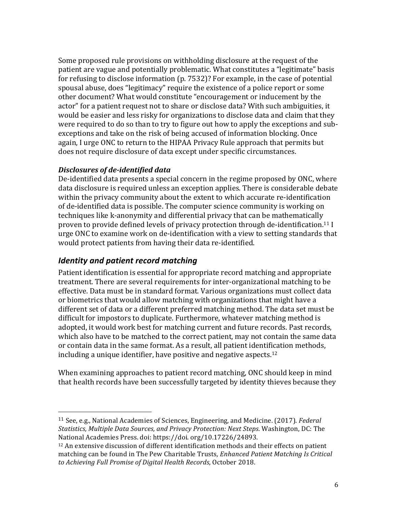Some proposed rule provisions on withholding disclosure at the request of the patient are vague and potentially problematic. What constitutes a "legitimate" basis for refusing to disclose information  $(p. 7532)$ ? For example, in the case of potential spousal abuse, does "legitimacy" require the existence of a police report or some other document? What would constitute "encouragement or inducement by the actor" for a patient request not to share or disclose data? With such ambiguities, it would be easier and less risky for organizations to disclose data and claim that they were required to do so than to try to figure out how to apply the exceptions and subexceptions and take on the risk of being accused of information blocking. Once again, I urge ONC to return to the HIPAA Privacy Rule approach that permits but does not require disclosure of data except under specific circumstances.

### *Disclosures of de-identified data*

De-identified data presents a special concern in the regime proposed by ONC, where data disclosure is required unless an exception applies. There is considerable debate within the privacy community about the extent to which accurate re-identification of de-identified data is possible. The computer science community is working on techniques like k-anonymity and differential privacy that can be mathematically proven to provide defined levels of privacy protection through de-identification.<sup>11</sup> I urge ONC to examine work on de-identification with a view to setting standards that would protect patients from having their data re-identified.

# *Identity and patient record matching*

 

Patient identification is essential for appropriate record matching and appropriate treatment. There are several requirements for inter-organizational matching to be effective. Data must be in standard format. Various organizations must collect data or biometrics that would allow matching with organizations that might have a different set of data or a different preferred matching method. The data set must be difficult for impostors to duplicate. Furthermore, whatever matching method is adopted, it would work best for matching current and future records. Past records, which also have to be matched to the correct patient, may not contain the same data or contain data in the same format. As a result, all patient identification methods, including a unique identifier, have positive and negative aspects.<sup>12</sup>

When examining approaches to patient record matching, ONC should keep in mind that health records have been successfully targeted by identity thieves because they

<sup>&</sup>lt;sup>11</sup> See, e.g., National Academies of Sciences, Engineering, and Medicine. (2017). *Federal Statistics, Multiple Data Sources, and Privacy Protection: Next Steps.* Washington, DC: The National Academies Press. doi: https://doi.org/10.17226/24893.

<sup>&</sup>lt;sup>12</sup> An extensive discussion of different identification methods and their effects on patient matching can be found in The Pew Charitable Trusts, *Enhanced Patient Matching Is Critical* to Achieving Full Promise of Digital Health Records, October 2018.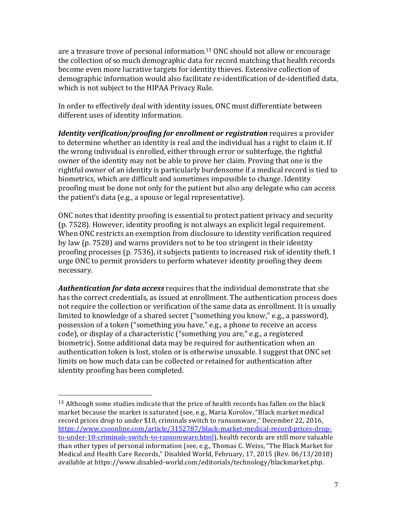are a treasure trove of personal information.<sup>13</sup> ONC should not allow or encourage the collection of so much demographic data for record matching that health records become even more lucrative targets for identity thieves. Extensive collection of demographic information would also facilitate re-identification of de-identified data, which is not subject to the HIPAA Privacy Rule.

In order to effectively deal with identity issues, ONC must differentiate between different uses of identity information.

*Identity verification/proofing for enrollment or registration* requires a provider to determine whether an identity is real and the individual has a right to claim it. If the wrong individual is enrolled, either through error or subterfuge, the rightful owner of the identity may not be able to prove her claim. Proving that one is the rightful owner of an identity is particularly burdensome if a medical record is tied to biometrics, which are difficult and sometimes impossible to change. Identity proofing must be done not only for the patient but also any delegate who can access the patient's data (e.g., a spouse or legal representative).

ONC notes that identity proofing is essential to protect patient privacy and security (p. 7528). However, identity proofing is not always an explicit legal requirement. When ONC restricts an exemption from disclosure to identity verification required by law (p. 7528) and warns providers not to be too stringent in their identity proofing processes (p. 7536), it subjects patients to increased risk of identity theft. I urge ONC to permit providers to perform whatever identity proofing they deem necessary.

Authentication for data access requires that the individual demonstrate that she has the correct credentials, as issued at enrollment. The authentication process does not require the collection or verification of the same data as enrollment. It is usually limited to knowledge of a shared secret ("something you know," e.g., a password), possession of a token ("something you have," e.g., a phone to receive an access code), or display of a characteristic ("something you are," e.g., a registered biometric). Some additional data may be required for authentication when an authentication token is lost, stolen or is otherwise unusable. I suggest that ONC set limits on how much data can be collected or retained for authentication after identity proofing has been completed.

 

 $13$  Although some studies indicate that the price of health records has fallen on the black market because the market is saturated (see, e.g., Maria Korolov, "Black market medical record prices drop to under \$10, criminals switch to ransomware," December 22, 2016, https://www.csoonline.com/article/3152787/black-market-medical-record-prices-dropto-under-10-criminals-switch-to-ransomware.html), health records are still more valuable than other types of personal information (see, e.g., Thomas C. Weiss, "The Black Market for Medical and Health Care Records," Disabled World, February, 17, 2015 (Rev. 06/13/2018) available at https://www.disabled-world.com/editorials/technology/blackmarket.php.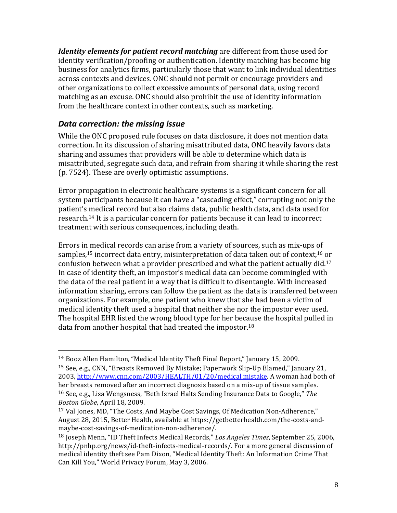*Identity elements for patient record matching* are different from those used for identity verification/proofing or authentication. Identity matching has become big business for analytics firms, particularly those that want to link individual identities across contexts and devices. ONC should not permit or encourage providers and other organizations to collect excessive amounts of personal data, using record matching as an excuse. ONC should also prohibit the use of identity information from the healthcare context in other contexts, such as marketing.

# *Data correction: the missing issue*

 

While the ONC proposed rule focuses on data disclosure, it does not mention data correction. In its discussion of sharing misattributed data, ONC heavily favors data sharing and assumes that providers will be able to determine which data is misattributed, segregate such data, and refrain from sharing it while sharing the rest (p. 7524). These are overly optimistic assumptions.

Error propagation in electronic healthcare systems is a significant concern for all system participants because it can have a "cascading effect," corrupting not only the patient's medical record but also claims data, public health data, and data used for research.<sup>14</sup> It is a particular concern for patients because it can lead to incorrect treatment with serious consequences, including death.

Errors in medical records can arise from a variety of sources, such as mix-ups of samples,<sup>15</sup> incorrect data entry, misinterpretation of data taken out of context,<sup>16</sup> or confusion between what a provider prescribed and what the patient actually did.<sup>17</sup> In case of identity theft, an impostor's medical data can become commingled with the data of the real patient in a way that is difficult to disentangle. With increased information sharing, errors can follow the patient as the data is transferred between organizations. For example, one patient who knew that she had been a victim of medical identity theft used a hospital that neither she nor the impostor ever used. The hospital EHR listed the wrong blood type for her because the hospital pulled in data from another hospital that had treated the impostor.<sup>18</sup>

<sup>&</sup>lt;sup>14</sup> Booz Allen Hamilton, "Medical Identity Theft Final Report," January 15, 2009.

 $15$  See, e.g., CNN, "Breasts Removed By Mistake; Paperwork Slip-Up Blamed," January 21, 2003, http://www.cnn.com/2003/HEALTH/01/20/medical.mistake. A woman had both of her breasts removed after an incorrect diagnosis based on a mix-up of tissue samples. <sup>16</sup> See, e.g., Lisa Wengsness, "Beth Israel Halts Sending Insurance Data to Google," The Boston Globe, April 18, 2009.

<sup>&</sup>lt;sup>17</sup> Val Jones, MD, "The Costs, And Maybe Cost Savings, Of Medication Non-Adherence," August 28, 2015, Better Health, available at https://getbetterhealth.com/the-costs-andmaybe-cost-savings-of-medication-non-adherence/.

<sup>&</sup>lt;sup>18</sup> Joseph Menn, "ID Theft Infects Medical Records," Los Angeles Times, September 25, 2006, http://pnhp.org/news/id-theft-infects-medical-records/. For a more general discussion of medical identity theft see Pam Dixon, "Medical Identity Theft: An Information Crime That Can Kill You," World Privacy Forum, May 3, 2006.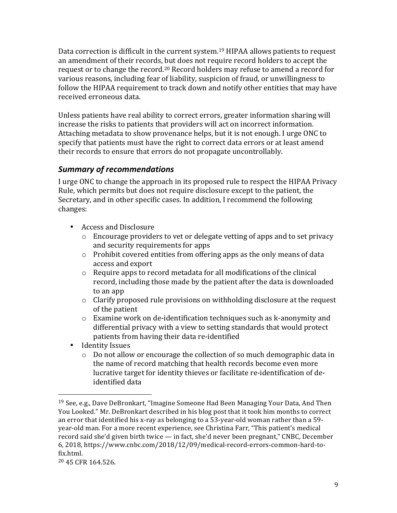Data correction is difficult in the current system.<sup>19</sup> HIPAA allows patients to request an amendment of their records, but does not require record holders to accept the request or to change the record.<sup>20</sup> Record holders may refuse to amend a record for various reasons, including fear of liability, suspicion of fraud, or unwillingness to follow the HIPAA requirement to track down and notify other entities that may have received erroneous data.

Unless patients have real ability to correct errors, greater information sharing will increase the risks to patients that providers will act on incorrect information. Attaching metadata to show provenance helps, but it is not enough. I urge ONC to specify that patients must have the right to correct data errors or at least amend their records to ensure that errors do not propagate uncontrollably.

# *Summary of recommendations*

I urge ONC to change the approach in its proposed rule to respect the HIPAA Privacy Rule, which permits but does not require disclosure except to the patient, the Secretary, and in other specific cases. In addition, I recommend the following changes:

- Access and Disclosure
	- $\circ$  Encourage providers to vet or delegate vetting of apps and to set privacy and security requirements for apps
	- $\circ$  Prohibit covered entities from offering apps as the only means of data access and export
	- $\circ$  Require apps to record metadata for all modifications of the clinical record, including those made by the patient after the data is downloaded to an app
	- $\circ$  Clarify proposed rule provisions on withholding disclosure at the request of the patient
	- $\circ$  Examine work on de-identification techniques such as k-anonymity and differential privacy with a view to setting standards that would protect patients from having their data re-identified
- Identity Issues

 

 $\circ$  Do not allow or encourage the collection of so much demographic data in the name of record matching that health records become even more lucrative target for identity thieves or facilitate re-identification of deidentified data

<sup>&</sup>lt;sup>19</sup> See, e.g., Dave DeBronkart, "Imagine Someone Had Been Managing Your Data, And Then You Looked." Mr. DeBronkart described in his blog post that it took him months to correct an error that identified his x-ray as belonging to a  $53$ -year-old woman rather than a  $59$ year-old man. For a more recent experience, see Christina Farr, "This patient's medical record said she'd given birth twice — in fact, she'd never been pregnant," CNBC, December 6, 2018, https://www.cnbc.com/2018/12/09/medical-record-errors-common-hard-tofix.html.

<sup>&</sup>lt;sup>20</sup> 45 CFR 164.526.